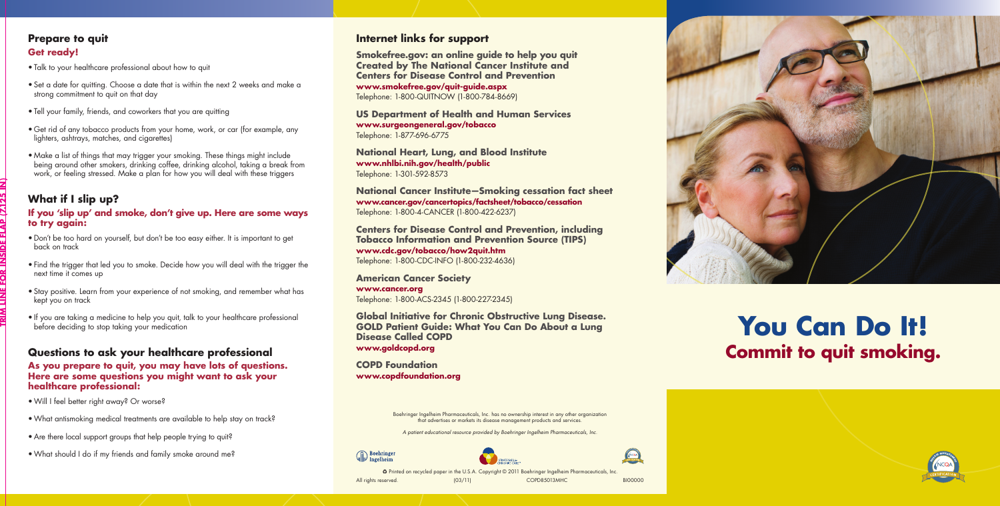# **You Can Do It! Commit to quit smoking.**





Boehringer Ingelheim Pharmaceuticals, Inc. has no ownership interest in any other organization that advertises or markets its disease management products and services.

Printed on recycled paper in the U.S.A. Copyright © 2011 Boehringer Ingelheim Pharmaceuticals, Inc.

All rights reserved.  $(03/11)$  COPD85013MHC BI00000

*A patient educational resource provided by Boehringer Ingelheim Pharmaceuticals, Inc.*



#### **Internet links for support**

**Smokefree.gov: an online guide to help you quit Created by The National Cancer Institute and Centers for Disease Control and Prevention www.smokefree.gov/quit-guide.aspx** Telephone: 1-800-QUITNOW (1-800-784-8669)

**US Department of Health and Human Services www.surgeongeneral.gov/tobacco** Telephone: 1-877-696-6775

**National Heart, Lung, and Blood Institute www.nhlbi.nih.gov/health/public** Telephone: 1-301-592-8573

**National Cancer Institute—Smoking cessation fact sheet www.cancer.gov/cancertopics/factsheet/tobacco/cessation** Telephone: 1-800-4-CANCER (1-800-422-6237)

**Centers for Disease Control and Prevention, including Tobacco Information and Prevention Source (TIPS) www.cdc.gov/tobacco/how2quit.htm** Telephone: 1-800-CDC-INFO (1-800-232-4636)

**American Cancer Society www.cancer.org** Telephone: 1-800-ACS-2345 (1-800-227-2345)

- Don't be too hard on yourself, but don't be too easy either. It is important to get back on track
- Find the trigger that led you to smoke. Decide how you will deal with the trigger the next time it comes up
- Stay positive. Learn from your experience of not smoking, and remember what has kept you on track
- If you are taking a medicine to help you quit, talk to your healthcare professional before deciding to stop taking your medication

**Global Initiative for Chronic Obstructive Lung Disease. GOLD Patient Guide: What You Can Do About a Lung Disease Called COPD www.goldcopd.org**

**COPD Foundation www.copdfoundation.org**

#### **Prepare to quit Get ready!**

- Talk to your healthcare professional about how to quit
- Set a date for quitting. Choose a date that is within the next 2 weeks and make a strong commitment to quit on that day
- Tell your family, friends, and coworkers that you are quitting
- Get rid of any tobacco products from your home, work, or car (for example, any lighters, ashtrays, matches, and cigarettes)
- Make a list of things that may trigger your smoking. These things might include being around other smokers, drinking coffee, drinking alcohol, taking a break from work, or feeling stressed. Make a plan for how you will deal with these triggers

## **What if I slip up?**

#### **If you 'slip up' and smoke, don't give up. Here are some ways to try again:**

#### **Questions to ask your healthcare professional**

**As you prepare to quit, you may have lots of questions. Here are some questions you might want to ask your healthcare professional:**

- • Will I feel better right away? Or worse?
- What antismoking medical treatments are available to help stay on track?
- Are there local support groups that help people trying to quit?
- • What should I do if my friends and family smoke around me? **<sup>D</sup><sup>I</sup>SEAS<sup>E</sup> <sup>M</sup>ANAGEM<sup>E</sup>N<sup>T</sup>**